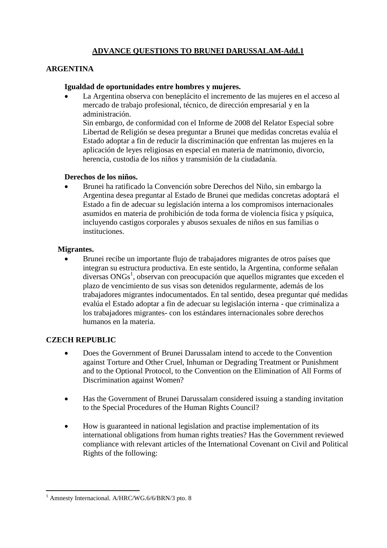# **ADVANCE QUESTIONS TO BRUNEI DARUSSALAM-Add.1**

### **ARGENTINA**

### **Igualdad de oportunidades entre hombres y mujeres.**

 La Argentina observa con beneplácito el incremento de las mujeres en el acceso al mercado de trabajo profesional, técnico, de dirección empresarial y en la administración.

Sin embargo, de conformidad con el Informe de 2008 del Relator Especial sobre Libertad de Religión se desea preguntar a Brunei que medidas concretas evalúa el Estado adoptar a fin de reducir la discriminación que enfrentan las mujeres en la aplicación de leyes religiosas en especial en materia de matrimonio, divorcio, herencia, custodia de los niños y transmisión de la ciudadanía.

#### **Derechos de los niños.**

 Brunei ha ratificado la Convención sobre Derechos del Niño, sin embargo la Argentina desea preguntar al Estado de Brunei que medidas concretas adoptará el Estado a fin de adecuar su legislación interna a los compromisos internacionales asumidos en materia de prohibición de toda forma de violencia física y psíquica, incluyendo castigos corporales y abusos sexuales de niños en sus familias o instituciones.

### **Migrantes.**

 Brunei recibe un importante flujo de trabajadores migrantes de otros países que integran su estructura productiva. En este sentido, la Argentina, conforme señalan diversas ONGs<sup>1</sup>, observan con preocupación que aquellos migrantes que exceden el plazo de vencimiento de sus visas son detenidos regularmente, además de los trabajadores migrantes indocumentados. En tal sentido, desea preguntar qué medidas evalúa el Estado adoptar a fin de adecuar su legislación interna - que criminaliza a los trabajadores migrantes- con los estándares internacionales sobre derechos humanos en la materia.

### **CZECH REPUBLIC**

- Does the Government of Brunei Darussalam intend to accede to the Convention against Torture and Other Cruel, Inhuman or Degrading Treatment or Punishment and to the Optional Protocol, to the Convention on the Elimination of All Forms of Discrimination against Women?
- Has the Government of Brunei Darussalam considered issuing a standing invitation to the Special Procedures of the Human Rights Council?
- How is guaranteed in national legislation and practise implementation of its international obligations from human rights treaties? Has the Government reviewed compliance with relevant articles of the International Covenant on Civil and Political Rights of the following:

 $\overline{a}$ <sup>1</sup> Amnesty Internacional. A/HRC/WG.6/6/BRN/3 pto. 8